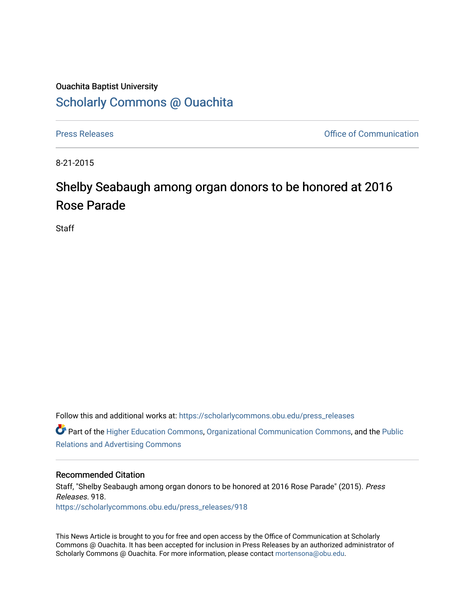## Ouachita Baptist University

### [Scholarly Commons @ Ouachita](https://scholarlycommons.obu.edu/)

[Press Releases](https://scholarlycommons.obu.edu/press_releases) **Press Releases Communication Press** Releases **Communication** 

8-21-2015

# Shelby Seabaugh among organ donors to be honored at 2016 Rose Parade

**Staff** 

Follow this and additional works at: [https://scholarlycommons.obu.edu/press\\_releases](https://scholarlycommons.obu.edu/press_releases?utm_source=scholarlycommons.obu.edu%2Fpress_releases%2F918&utm_medium=PDF&utm_campaign=PDFCoverPages)

Part of the [Higher Education Commons,](http://network.bepress.com/hgg/discipline/1245?utm_source=scholarlycommons.obu.edu%2Fpress_releases%2F918&utm_medium=PDF&utm_campaign=PDFCoverPages) [Organizational Communication Commons,](http://network.bepress.com/hgg/discipline/335?utm_source=scholarlycommons.obu.edu%2Fpress_releases%2F918&utm_medium=PDF&utm_campaign=PDFCoverPages) and the [Public](http://network.bepress.com/hgg/discipline/336?utm_source=scholarlycommons.obu.edu%2Fpress_releases%2F918&utm_medium=PDF&utm_campaign=PDFCoverPages) [Relations and Advertising Commons](http://network.bepress.com/hgg/discipline/336?utm_source=scholarlycommons.obu.edu%2Fpress_releases%2F918&utm_medium=PDF&utm_campaign=PDFCoverPages) 

### Recommended Citation

Staff, "Shelby Seabaugh among organ donors to be honored at 2016 Rose Parade" (2015). Press Releases. 918. [https://scholarlycommons.obu.edu/press\\_releases/918](https://scholarlycommons.obu.edu/press_releases/918?utm_source=scholarlycommons.obu.edu%2Fpress_releases%2F918&utm_medium=PDF&utm_campaign=PDFCoverPages)

This News Article is brought to you for free and open access by the Office of Communication at Scholarly Commons @ Ouachita. It has been accepted for inclusion in Press Releases by an authorized administrator of Scholarly Commons @ Ouachita. For more information, please contact [mortensona@obu.edu](mailto:mortensona@obu.edu).